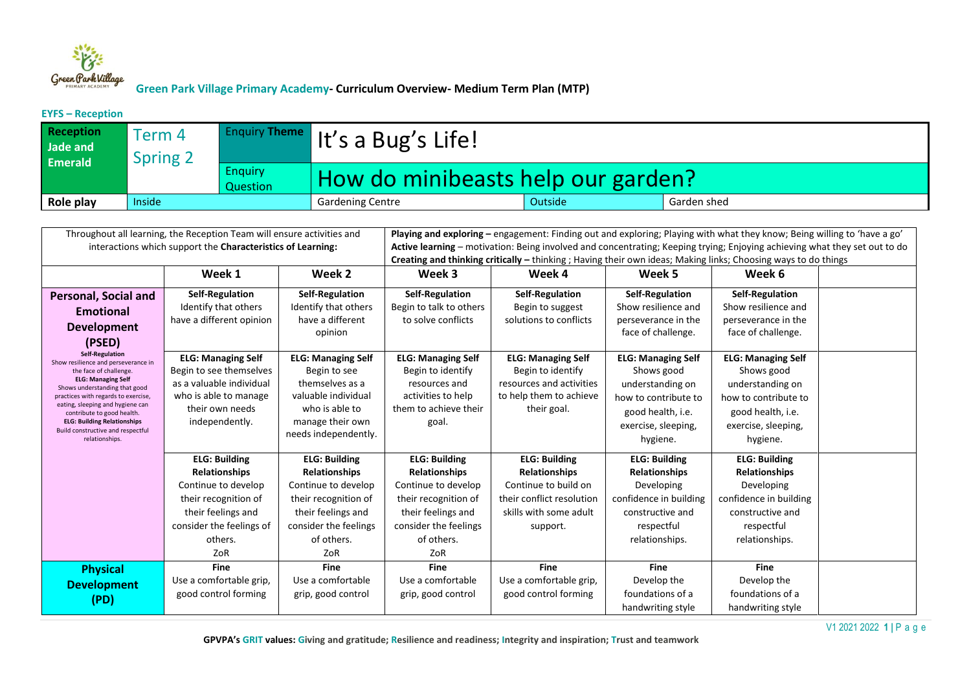

**EYFS – Reception**

| <b>Reception</b><br>Jade and<br><b>Emerald</b> | Term 4<br><b>Spring 2</b> |                            | $\left  \frac{\text{Enquiv} \text{There}}{\text{Inquiv}} \right $ It's a Bug's Life! |         |             |
|------------------------------------------------|---------------------------|----------------------------|--------------------------------------------------------------------------------------|---------|-------------|
|                                                |                           | <b>Enguiry</b><br>Question | How do minibeasts help our garden?                                                   |         |             |
| Role play                                      | Inside                    |                            | Gardening Centre                                                                     | Outside | Garden shed |

| Throughout all learning, the Reception Team will ensure activities and<br>interactions which support the Characteristics of Learning:                                                                                                                                                                                                                       |                                                                                                                                                                 |                                                                                                                                                                 | Playing and exploring – engagement: Finding out and exploring; Playing with what they know; Being willing to 'have a go'<br>Active learning – motivation: Being involved and concentrating; Keeping trying; Enjoying achieving what they set out to do<br>Creating and thinking critically – thinking; Having their own ideas; Making links; Choosing ways to do things |                                                                                                                                         |                                                                                                                                             |                                                                                                                                             |  |  |
|-------------------------------------------------------------------------------------------------------------------------------------------------------------------------------------------------------------------------------------------------------------------------------------------------------------------------------------------------------------|-----------------------------------------------------------------------------------------------------------------------------------------------------------------|-----------------------------------------------------------------------------------------------------------------------------------------------------------------|-------------------------------------------------------------------------------------------------------------------------------------------------------------------------------------------------------------------------------------------------------------------------------------------------------------------------------------------------------------------------|-----------------------------------------------------------------------------------------------------------------------------------------|---------------------------------------------------------------------------------------------------------------------------------------------|---------------------------------------------------------------------------------------------------------------------------------------------|--|--|
|                                                                                                                                                                                                                                                                                                                                                             | Week 1                                                                                                                                                          | Week 2                                                                                                                                                          | Week 3                                                                                                                                                                                                                                                                                                                                                                  | Week 4                                                                                                                                  | Week 5                                                                                                                                      | Week 6                                                                                                                                      |  |  |
| <b>Personal, Social and</b><br><b>Emotional</b><br><b>Development</b><br>(PSED)                                                                                                                                                                                                                                                                             | Self-Regulation<br>Identify that others<br>have a different opinion                                                                                             | Self-Regulation<br>Identify that others<br>have a different<br>opinion                                                                                          | Self-Regulation<br>Begin to talk to others<br>to solve conflicts                                                                                                                                                                                                                                                                                                        | Self-Regulation<br>Begin to suggest<br>solutions to conflicts                                                                           | Self-Regulation<br>Show resilience and<br>perseverance in the<br>face of challenge.                                                         | <b>Self-Regulation</b><br>Show resilience and<br>perseverance in the<br>face of challenge.                                                  |  |  |
| <b>Self-Regulation</b><br>Show resilience and perseverance in<br>the face of challenge.<br><b>ELG: Managing Self</b><br>Shows understanding that good<br>practices with regards to exercise,<br>eating, sleeping and hygiene can<br>contribute to good health.<br><b>ELG: Building Relationships</b><br>Build constructive and respectful<br>relationships. | <b>ELG: Managing Self</b><br>Begin to see themselves<br>as a valuable individual<br>who is able to manage<br>their own needs<br>independently.                  | <b>ELG: Managing Self</b><br>Begin to see<br>themselves as a<br>valuable individual<br>who is able to<br>manage their own<br>needs independently.               | <b>ELG: Managing Self</b><br>Begin to identify<br>resources and<br>activities to help<br>them to achieve their<br>goal.                                                                                                                                                                                                                                                 | <b>ELG: Managing Self</b><br>Begin to identify<br>resources and activities<br>to help them to achieve<br>their goal.                    | <b>ELG: Managing Self</b><br>Shows good<br>understanding on<br>how to contribute to<br>good health, i.e.<br>exercise, sleeping,<br>hygiene. | <b>ELG: Managing Self</b><br>Shows good<br>understanding on<br>how to contribute to<br>good health, i.e.<br>exercise, sleeping,<br>hygiene. |  |  |
|                                                                                                                                                                                                                                                                                                                                                             | <b>ELG: Building</b><br><b>Relationships</b><br>Continue to develop<br>their recognition of<br>their feelings and<br>consider the feelings of<br>others.<br>ZoR | <b>ELG: Building</b><br><b>Relationships</b><br>Continue to develop<br>their recognition of<br>their feelings and<br>consider the feelings<br>of others.<br>ZoR | <b>ELG: Building</b><br><b>Relationships</b><br>Continue to develop<br>their recognition of<br>their feelings and<br>consider the feelings<br>of others.<br>ZoR                                                                                                                                                                                                         | <b>ELG: Building</b><br><b>Relationships</b><br>Continue to build on<br>their conflict resolution<br>skills with some adult<br>support. | <b>ELG: Building</b><br><b>Relationships</b><br>Developing<br>confidence in building<br>constructive and<br>respectful<br>relationships.    | <b>ELG: Building</b><br><b>Relationships</b><br>Developing<br>confidence in building<br>constructive and<br>respectful<br>relationships.    |  |  |
| <b>Physical</b><br><b>Development</b><br>(PD)                                                                                                                                                                                                                                                                                                               | <b>Fine</b><br>Use a comfortable grip,<br>good control forming                                                                                                  | <b>Fine</b><br>Use a comfortable<br>grip, good control                                                                                                          | <b>Fine</b><br>Use a comfortable<br>grip, good control                                                                                                                                                                                                                                                                                                                  | <b>Fine</b><br>Use a comfortable grip,<br>good control forming                                                                          | <b>Fine</b><br>Develop the<br>foundations of a<br>handwriting style                                                                         | <b>Fine</b><br>Develop the<br>foundations of a<br>handwriting style                                                                         |  |  |

V1 2021 2022 **1 |** P a g e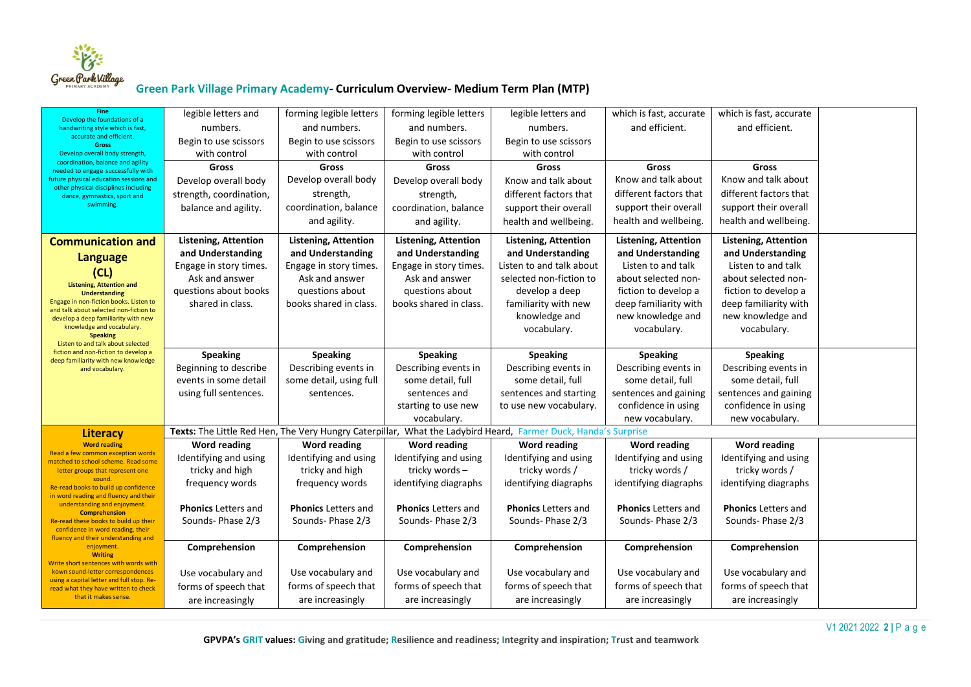

| <b>Fine</b><br>Develop the foundations of a                                       | legible letters and         | forming legible letters     | forming legible letters     | legible letters and                                                                                            | which is fast, accurate     | which is fast, accurate     |  |
|-----------------------------------------------------------------------------------|-----------------------------|-----------------------------|-----------------------------|----------------------------------------------------------------------------------------------------------------|-----------------------------|-----------------------------|--|
| handwriting style which is fast,                                                  | numbers.                    | and numbers.                | and numbers.                | numbers.                                                                                                       | and efficient.              | and efficient.              |  |
| accurate and efficient.<br><b>Gross</b>                                           | Begin to use scissors       | Begin to use scissors       | Begin to use scissors       | Begin to use scissors                                                                                          |                             |                             |  |
| Develop overall body strength                                                     | with control                | with control                | with control                | with control                                                                                                   |                             |                             |  |
| coordination, balance and agility<br>needed to engage successfully with           | <b>Gross</b>                | Gross                       | <b>Gross</b>                | Gross                                                                                                          | <b>Gross</b>                | Gross                       |  |
| future physical education sessions and<br>other physical disciplines including    | Develop overall body        | Develop overall body        | Develop overall body        | Know and talk about                                                                                            | Know and talk about         | Know and talk about         |  |
| dance, gymnastics, sport and                                                      | strength, coordination,     | strength,                   | strength,                   | different factors that                                                                                         | different factors that      | different factors that      |  |
| swimming.                                                                         | balance and agility.        | coordination, balance       | coordination, balance       | support their overall                                                                                          | support their overall       | support their overall       |  |
|                                                                                   |                             | and agility.                | and agility.                | health and wellbeing.                                                                                          | health and wellbeing.       | health and wellbeing.       |  |
| <b>Communication and</b>                                                          | <b>Listening, Attention</b> | <b>Listening, Attention</b> | <b>Listening, Attention</b> | <b>Listening, Attention</b>                                                                                    | <b>Listening, Attention</b> | <b>Listening, Attention</b> |  |
| <b>Language</b>                                                                   | and Understanding           | and Understanding           | and Understanding           | and Understanding                                                                                              | and Understanding           | and Understanding           |  |
| (CL)                                                                              | Engage in story times.      | Engage in story times.      | Engage in story times.      | Listen to and talk about                                                                                       | Listen to and talk          | Listen to and talk          |  |
| <b>Listening, Attention and</b>                                                   | Ask and answer              | Ask and answer              | Ask and answer              | selected non-fiction to                                                                                        | about selected non-         | about selected non-         |  |
| <b>Understanding</b>                                                              | questions about books       | questions about             | questions about             | develop a deep                                                                                                 | fiction to develop a        | fiction to develop a        |  |
| Engage in non-fiction books. Listen to<br>and talk about selected non-fiction to  | shared in class.            | books shared in class.      | books shared in class.      | familiarity with new                                                                                           | deep familiarity with       | deep familiarity with       |  |
| develop a deep familiarity with new                                               |                             |                             |                             | knowledge and                                                                                                  | new knowledge and           | new knowledge and           |  |
| knowledge and vocabulary.<br><b>Speaking</b>                                      |                             |                             |                             | vocabulary.                                                                                                    | vocabulary.                 | vocabulary.                 |  |
| Listen to and talk about selected<br>fiction and non-fiction to develop a         |                             |                             |                             |                                                                                                                |                             |                             |  |
| deep familiarity with new knowledge                                               | <b>Speaking</b>             | <b>Speaking</b>             | <b>Speaking</b>             | <b>Speaking</b>                                                                                                | <b>Speaking</b>             | <b>Speaking</b>             |  |
| and vocabulary.                                                                   | Beginning to describe       | Describing events in        | Describing events in        | Describing events in                                                                                           | Describing events in        | Describing events in        |  |
|                                                                                   | events in some detail       | some detail, using full     | some detail, full           | some detail, full                                                                                              | some detail, full           | some detail, full           |  |
|                                                                                   | using full sentences.       | sentences.                  | sentences and               | sentences and starting                                                                                         | sentences and gaining       | sentences and gaining       |  |
|                                                                                   |                             |                             | starting to use new         | to use new vocabulary.                                                                                         | confidence in using         | confidence in using         |  |
|                                                                                   |                             |                             | vocabulary.                 | Texts: The Little Red Hen, The Very Hungry Caterpillar, What the Ladybird Heard, Farmer Duck, Handa's Surprise | new vocabulary.             | new vocabulary.             |  |
| <b>Literacy</b><br><b>Word reading</b>                                            | <b>Word reading</b>         | <b>Word reading</b>         | <b>Word reading</b>         | <b>Word reading</b>                                                                                            | <b>Word reading</b>         | <b>Word reading</b>         |  |
| Read a few common exception words                                                 | Identifying and using       | Identifying and using       | Identifying and using       | Identifying and using                                                                                          | Identifying and using       | Identifying and using       |  |
| matched to school scheme. Read some<br>letter groups that represent one           | tricky and high             | tricky and high             | tricky words-               | tricky words /                                                                                                 | tricky words /              | tricky words /              |  |
| sound.                                                                            | frequency words             | frequency words             | identifying diagraphs       | identifying diagraphs                                                                                          | identifying diagraphs       | identifying diagraphs       |  |
| Re-read books to build up confidence<br>in word reading and fluency and their     |                             |                             |                             |                                                                                                                |                             |                             |  |
| understanding and enjoyment.                                                      | <b>Phonics Letters and</b>  | <b>Phonics Letters and</b>  | <b>Phonics Letters and</b>  | <b>Phonics Letters and</b>                                                                                     | <b>Phonics Letters and</b>  | <b>Phonics</b> Letters and  |  |
| <b>Comprehension</b><br>Re-read these books to build up their                     | Sounds-Phase 2/3            | Sounds-Phase 2/3            | Sounds-Phase 2/3            | Sounds-Phase 2/3                                                                                               | Sounds-Phase 2/3            | Sounds-Phase 2/3            |  |
| confidence in word reading, their<br>fluency and their understanding and          |                             |                             |                             |                                                                                                                |                             |                             |  |
| enjoyment.                                                                        | Comprehension               | Comprehension               | Comprehension               | Comprehension                                                                                                  | Comprehension               | Comprehension               |  |
| <b>Writing</b><br>Write short sentences with words with                           |                             |                             |                             |                                                                                                                |                             |                             |  |
| kown sound-letter correspondences                                                 | Use vocabulary and          | Use vocabulary and          | Use vocabulary and          | Use vocabulary and                                                                                             | Use vocabulary and          | Use vocabulary and          |  |
| using a capital letter and full stop. Re-<br>read what they have written to check | forms of speech that        | forms of speech that        | forms of speech that        | forms of speech that                                                                                           | forms of speech that        | forms of speech that        |  |
| that it makes sense.                                                              | are increasingly            | are increasingly            | are increasingly            | are increasingly                                                                                               | are increasingly            | are increasingly            |  |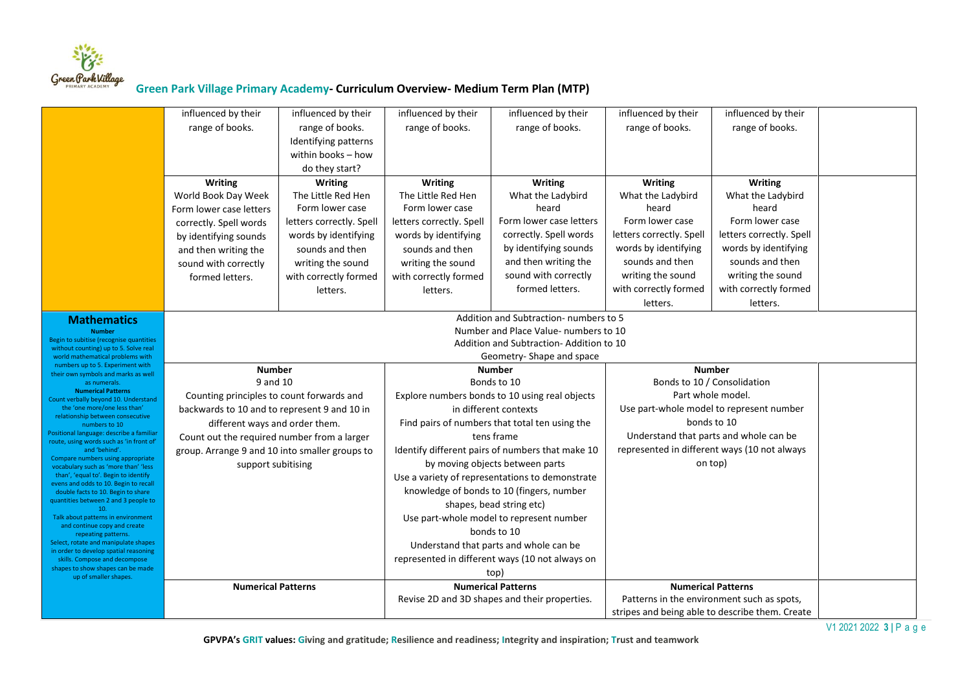

|                                                                              | influenced by their                                                                           | influenced by their      | influenced by their                            | influenced by their                              | influenced by their                             | influenced by their                          |  |
|------------------------------------------------------------------------------|-----------------------------------------------------------------------------------------------|--------------------------|------------------------------------------------|--------------------------------------------------|-------------------------------------------------|----------------------------------------------|--|
|                                                                              | range of books.                                                                               | range of books.          | range of books.                                | range of books.                                  | range of books.                                 | range of books.                              |  |
|                                                                              |                                                                                               | Identifying patterns     |                                                |                                                  |                                                 |                                              |  |
|                                                                              |                                                                                               | within books - how       |                                                |                                                  |                                                 |                                              |  |
|                                                                              |                                                                                               | do they start?           |                                                |                                                  |                                                 |                                              |  |
|                                                                              | <b>Writing</b>                                                                                | <b>Writing</b>           | <b>Writing</b>                                 | <b>Writing</b>                                   | <b>Writing</b>                                  | <b>Writing</b>                               |  |
|                                                                              | World Book Day Week                                                                           | The Little Red Hen       | The Little Red Hen                             | What the Ladybird                                | What the Ladybird                               | What the Ladybird                            |  |
|                                                                              | Form lower case letters                                                                       | Form lower case          | Form lower case                                | heard                                            | heard                                           | heard                                        |  |
|                                                                              | correctly. Spell words                                                                        | letters correctly. Spell | letters correctly. Spell                       | Form lower case letters                          | Form lower case                                 | Form lower case                              |  |
|                                                                              | by identifying sounds                                                                         | words by identifying     | words by identifying                           | correctly. Spell words                           | letters correctly. Spell                        | letters correctly. Spell                     |  |
|                                                                              | and then writing the                                                                          | sounds and then          | sounds and then                                | by identifying sounds                            | words by identifying                            | words by identifying                         |  |
|                                                                              | sound with correctly                                                                          | writing the sound        | writing the sound                              | and then writing the                             | sounds and then                                 | sounds and then                              |  |
|                                                                              | formed letters.                                                                               | with correctly formed    | with correctly formed                          | sound with correctly                             | writing the sound                               | writing the sound                            |  |
|                                                                              |                                                                                               | letters.                 | letters.                                       | formed letters.                                  | with correctly formed                           | with correctly formed                        |  |
|                                                                              |                                                                                               |                          |                                                |                                                  | letters.                                        | letters.                                     |  |
| <b>Mathematics</b>                                                           |                                                                                               |                          |                                                | Addition and Subtraction-numbers to 5            |                                                 |                                              |  |
| <b>Number</b><br>Begin to subitise (recognise quantities                     |                                                                                               |                          |                                                | Number and Place Value- numbers to 10            |                                                 |                                              |  |
| without counting) up to 5. Solve real                                        |                                                                                               |                          | Addition and Subtraction-Addition to 10        |                                                  |                                                 |                                              |  |
| world mathematical problems with<br>numbers up to 5. Experiment with         |                                                                                               |                          |                                                | Geometry-Shape and space                         |                                                 |                                              |  |
| their own symbols and marks as well<br>as numerals.                          | <b>Number</b><br>9 and 10                                                                     |                          | <b>Number</b><br>Bonds to 10                   |                                                  | <b>Number</b><br>Bonds to 10 / Consolidation    |                                              |  |
| <b>Numerical Patterns</b>                                                    |                                                                                               |                          | Explore numbers bonds to 10 using real objects |                                                  | Part whole model.                               |                                              |  |
| Count verbally beyond 10. Understand<br>the 'one more/one less than'         | Counting principles to count forwards and                                                     |                          | in different contexts                          |                                                  |                                                 | Use part-whole model to represent number     |  |
| relationship between consecutive                                             | backwards to 10 and to represent 9 and 10 in                                                  |                          |                                                | Find pairs of numbers that total ten using the   |                                                 | bonds to 10                                  |  |
| numbers to 10<br>Positional language: describe a familiar                    | different ways and order them.                                                                |                          |                                                | tens frame                                       |                                                 | Understand that parts and whole can be       |  |
| route, using words such as 'in front of'<br>and 'behind'.                    | Count out the required number from a larger<br>group. Arrange 9 and 10 into smaller groups to |                          |                                                | Identify different pairs of numbers that make 10 |                                                 | represented in different ways (10 not always |  |
| Compare numbers using appropriate                                            | support subitising                                                                            |                          |                                                | by moving objects between parts                  |                                                 | on top)                                      |  |
| vocabulary such as 'more than' 'less<br>than', 'equal to'. Begin to identify |                                                                                               |                          |                                                | Use a variety of representations to demonstrate  |                                                 |                                              |  |
| evens and odds to 10. Begin to recall<br>double facts to 10. Begin to share  |                                                                                               |                          |                                                | knowledge of bonds to 10 (fingers, number        |                                                 |                                              |  |
| quantities between 2 and 3 people to                                         |                                                                                               |                          |                                                | shapes, bead string etc)                         |                                                 |                                              |  |
| Talk about patterns in environment                                           |                                                                                               |                          |                                                | Use part-whole model to represent number         |                                                 |                                              |  |
| and continue copy and create                                                 |                                                                                               |                          |                                                | bonds to 10                                      |                                                 |                                              |  |
| repeating patterns.<br>Select, rotate and manipulate shapes                  |                                                                                               |                          |                                                | Understand that parts and whole can be           |                                                 |                                              |  |
| in order to develop spatial reasoning<br>skills. Compose and decompose       |                                                                                               |                          |                                                | represented in different ways (10 not always on  |                                                 |                                              |  |
| shapes to show shapes can be made                                            |                                                                                               |                          |                                                | top)                                             |                                                 |                                              |  |
| up of smaller shapes.                                                        | <b>Numerical Patterns</b>                                                                     |                          |                                                | <b>Numerical Patterns</b>                        |                                                 | <b>Numerical Patterns</b>                    |  |
|                                                                              |                                                                                               |                          |                                                | Revise 2D and 3D shapes and their properties.    |                                                 | Patterns in the environment such as spots,   |  |
|                                                                              |                                                                                               |                          |                                                |                                                  | stripes and being able to describe them. Create |                                              |  |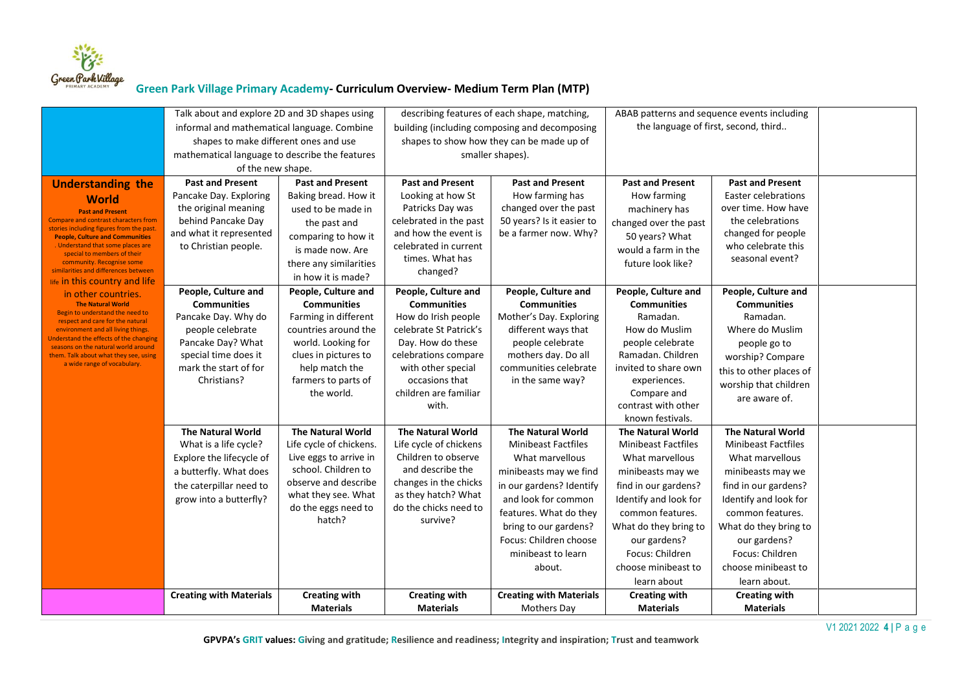

|                                                                                         | Talk about and explore 2D and 3D shapes using  |                          | describing features of each shape, matching, |                                               | ABAB patterns and sequence events including |                            |  |
|-----------------------------------------------------------------------------------------|------------------------------------------------|--------------------------|----------------------------------------------|-----------------------------------------------|---------------------------------------------|----------------------------|--|
|                                                                                         | informal and mathematical language. Combine    |                          |                                              | building (including composing and decomposing | the language of first, second, third        |                            |  |
|                                                                                         | shapes to make different ones and use          |                          |                                              | shapes to show how they can be made up of     |                                             |                            |  |
|                                                                                         | mathematical language to describe the features |                          | smaller shapes).                             |                                               |                                             |                            |  |
|                                                                                         | of the new shape.                              |                          |                                              |                                               |                                             |                            |  |
| <b>Understanding the</b>                                                                | <b>Past and Present</b>                        | <b>Past and Present</b>  | <b>Past and Present</b>                      | <b>Past and Present</b>                       | <b>Past and Present</b>                     | <b>Past and Present</b>    |  |
| <b>World</b>                                                                            | Pancake Day. Exploring                         | Baking bread. How it     | Looking at how St                            | How farming has                               | How farming                                 | <b>Easter celebrations</b> |  |
| <b>Past and Present</b>                                                                 | the original meaning                           | used to be made in       | Patricks Day was                             | changed over the past                         | machinery has                               | over time. How have        |  |
| <b>Compare and contrast characters from</b><br>stories including figures from the past. | behind Pancake Day                             | the past and             | celebrated in the past                       | 50 years? Is it easier to                     | changed over the past                       | the celebrations           |  |
| <b>People, Culture and Communities</b>                                                  | and what it represented                        | comparing to how it      | and how the event is                         | be a farmer now. Why?                         | 50 years? What                              | changed for people         |  |
| . Understand that some places are<br>special to members of their                        | to Christian people.                           | is made now. Are         | celebrated in current                        |                                               | would a farm in the                         | who celebrate this         |  |
| community. Recognise some<br>similarities and differences between                       |                                                | there any similarities   | times. What has                              |                                               | future look like?                           | seasonal event?            |  |
| life in this country and life                                                           |                                                | in how it is made?       | changed?                                     |                                               |                                             |                            |  |
| in other countries.                                                                     | People, Culture and                            | People, Culture and      | People, Culture and                          | People, Culture and                           | People, Culture and                         | People, Culture and        |  |
| <b>The Natural World</b>                                                                | <b>Communities</b>                             | <b>Communities</b>       | <b>Communities</b>                           | <b>Communities</b>                            | <b>Communities</b>                          | <b>Communities</b>         |  |
| Begin to understand the need to<br>respect and care for the natural                     | Pancake Day. Why do                            | Farming in different     | How do Irish people                          | Mother's Day. Exploring                       | Ramadan.                                    | Ramadan.                   |  |
| environment and all living things.<br><b>Jnderstand the effects of the changing</b>     | people celebrate                               | countries around the     | celebrate St Patrick's                       | different ways that                           | How do Muslim                               | Where do Muslim            |  |
| seasons on the natural world around                                                     | Pancake Day? What                              | world. Looking for       | Day. How do these                            | people celebrate                              | people celebrate                            | people go to               |  |
| them. Talk about what they see, using<br>a wide range of vocabulary.                    | special time does it                           | clues in pictures to     | celebrations compare                         | mothers day. Do all                           | Ramadan. Children                           | worship? Compare           |  |
|                                                                                         | mark the start of for                          | help match the           | with other special                           | communities celebrate                         | invited to share own                        | this to other places of    |  |
|                                                                                         | Christians?                                    | farmers to parts of      | occasions that<br>children are familiar      | in the same way?                              | experiences.                                | worship that children      |  |
|                                                                                         |                                                | the world.               | with.                                        |                                               | Compare and<br>contrast with other          | are aware of.              |  |
|                                                                                         |                                                |                          |                                              |                                               | known festivals.                            |                            |  |
|                                                                                         | <b>The Natural World</b>                       | <b>The Natural World</b> | <b>The Natural World</b>                     | <b>The Natural World</b>                      | <b>The Natural World</b>                    | <b>The Natural World</b>   |  |
|                                                                                         | What is a life cycle?                          | Life cycle of chickens.  | Life cycle of chickens                       | <b>Minibeast Factfiles</b>                    | <b>Minibeast Factfiles</b>                  | <b>Minibeast Factfiles</b> |  |
|                                                                                         | Explore the lifecycle of                       | Live eggs to arrive in   | Children to observe                          | What marvellous                               | What marvellous                             | What marvellous            |  |
|                                                                                         | a butterfly. What does                         | school. Children to      | and describe the                             | minibeasts may we find                        | minibeasts may we                           | minibeasts may we          |  |
|                                                                                         | the caterpillar need to                        | observe and describe     | changes in the chicks                        | in our gardens? Identify                      | find in our gardens?                        | find in our gardens?       |  |
|                                                                                         | grow into a butterfly?                         | what they see. What      | as they hatch? What                          | and look for common                           | Identify and look for                       | Identify and look for      |  |
|                                                                                         |                                                | do the eggs need to      | do the chicks need to                        | features. What do they                        | common features.                            | common features.           |  |
|                                                                                         |                                                | hatch?                   | survive?                                     | bring to our gardens?                         | What do they bring to                       | What do they bring to      |  |
|                                                                                         |                                                |                          |                                              | Focus: Children choose                        | our gardens?                                | our gardens?               |  |
|                                                                                         |                                                |                          |                                              | minibeast to learn                            | Focus: Children                             | Focus: Children            |  |
|                                                                                         |                                                |                          |                                              | about.                                        | choose minibeast to                         | choose minibeast to        |  |
|                                                                                         |                                                |                          |                                              |                                               | learn about                                 | learn about.               |  |
|                                                                                         | <b>Creating with Materials</b>                 | <b>Creating with</b>     | <b>Creating with</b>                         | <b>Creating with Materials</b>                | <b>Creating with</b>                        | <b>Creating with</b>       |  |
|                                                                                         |                                                | <b>Materials</b>         | <b>Materials</b>                             | <b>Mothers Day</b>                            | <b>Materials</b>                            | <b>Materials</b>           |  |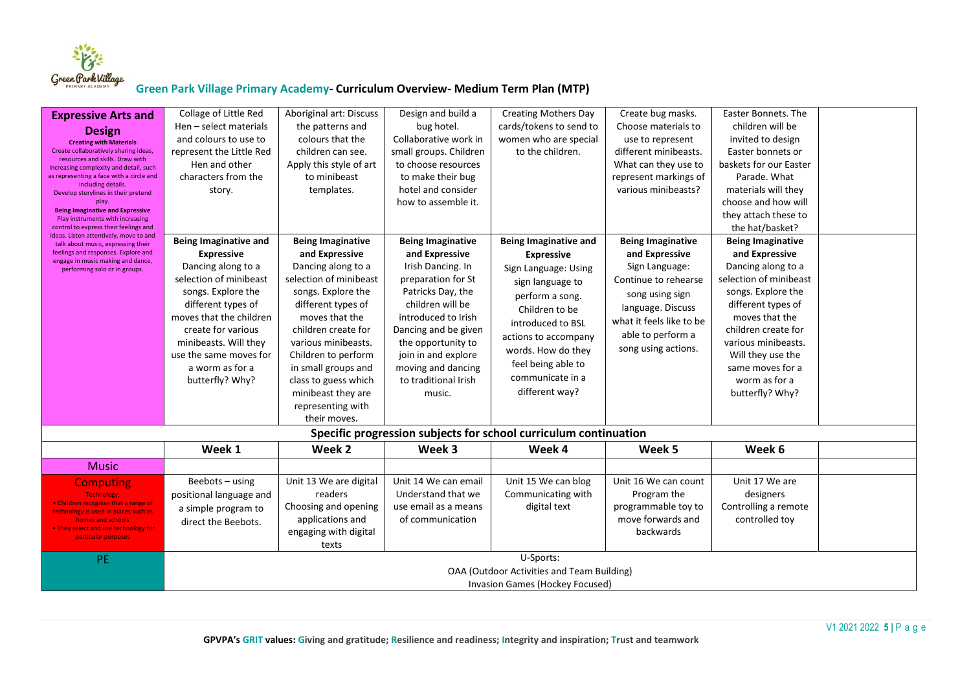

| <b>Expressive Arts and</b><br><b>Design</b><br><b>Creating with Materials</b><br>Create collaboratively sharing ideas,<br>resources and skills. Draw with<br>increasing complexity and detail, such<br>as representing a face with a circle and<br>including details.<br>Develop storylines in their pretend<br>play.<br><b>Being Imaginative and Expressive</b><br>Play instruments with increasing<br>control to express their feelings and<br>ideas. Listen attentively, move to and<br>talk about music, expressing their<br>feelings and responses. Explore and<br>engage in music making and dance,<br>performing solo or in groups. | Collage of Little Red<br>Hen - select materials<br>and colours to use to<br>represent the Little Red<br>Hen and other<br>characters from the<br>story.<br><b>Being Imaginative and</b><br><b>Expressive</b><br>Dancing along to a<br>selection of minibeast<br>songs. Explore the<br>different types of<br>moves that the children<br>create for various<br>minibeasts. Will they<br>use the same moves for<br>a worm as for a<br>butterfly? Why? | Aboriginal art: Discuss<br>the patterns and<br>colours that the<br>children can see.<br>Apply this style of art<br>to minibeast<br>templates.<br><b>Being Imaginative</b><br>and Expressive<br>Dancing along to a<br>selection of minibeast<br>songs. Explore the<br>different types of<br>moves that the<br>children create for<br>various minibeasts.<br>Children to perform<br>in small groups and<br>class to guess which<br>minibeast they are<br>representing with | Design and build a<br>bug hotel.<br>Collaborative work in<br>small groups. Children<br>to choose resources<br>to make their bug<br>hotel and consider<br>how to assemble it.<br><b>Being Imaginative</b><br>and Expressive<br>Irish Dancing. In<br>preparation for St<br>Patricks Day, the<br>children will be<br>introduced to Irish<br>Dancing and be given<br>the opportunity to<br>join in and explore<br>moving and dancing<br>to traditional Irish<br>music. | <b>Creating Mothers Day</b><br>cards/tokens to send to<br>women who are special<br>to the children.<br><b>Being Imaginative and</b><br><b>Expressive</b><br>Sign Language: Using<br>sign language to<br>perform a song.<br>Children to be<br>introduced to BSL<br>actions to accompany<br>words. How do they<br>feel being able to<br>communicate in a<br>different way? | Create bug masks.<br>Choose materials to<br>use to represent<br>different minibeasts.<br>What can they use to<br>represent markings of<br>various minibeasts?<br><b>Being Imaginative</b><br>and Expressive<br>Sign Language:<br>Continue to rehearse<br>song using sign<br>language. Discuss<br>what it feels like to be<br>able to perform a<br>song using actions. | <b>Easter Bonnets. The</b><br>children will be<br>invited to design<br>Easter bonnets or<br>baskets for our Easter<br>Parade. What<br>materials will they<br>choose and how will<br>they attach these to<br>the hat/basket?<br><b>Being Imaginative</b><br>and Expressive<br>Dancing along to a<br>selection of minibeast<br>songs. Explore the<br>different types of<br>moves that the<br>children create for<br>various minibeasts.<br>Will they use the<br>same moves for a<br>worm as for a<br>butterfly? Why? |  |  |  |
|--------------------------------------------------------------------------------------------------------------------------------------------------------------------------------------------------------------------------------------------------------------------------------------------------------------------------------------------------------------------------------------------------------------------------------------------------------------------------------------------------------------------------------------------------------------------------------------------------------------------------------------------|---------------------------------------------------------------------------------------------------------------------------------------------------------------------------------------------------------------------------------------------------------------------------------------------------------------------------------------------------------------------------------------------------------------------------------------------------|--------------------------------------------------------------------------------------------------------------------------------------------------------------------------------------------------------------------------------------------------------------------------------------------------------------------------------------------------------------------------------------------------------------------------------------------------------------------------|--------------------------------------------------------------------------------------------------------------------------------------------------------------------------------------------------------------------------------------------------------------------------------------------------------------------------------------------------------------------------------------------------------------------------------------------------------------------|--------------------------------------------------------------------------------------------------------------------------------------------------------------------------------------------------------------------------------------------------------------------------------------------------------------------------------------------------------------------------|-----------------------------------------------------------------------------------------------------------------------------------------------------------------------------------------------------------------------------------------------------------------------------------------------------------------------------------------------------------------------|--------------------------------------------------------------------------------------------------------------------------------------------------------------------------------------------------------------------------------------------------------------------------------------------------------------------------------------------------------------------------------------------------------------------------------------------------------------------------------------------------------------------|--|--|--|
|                                                                                                                                                                                                                                                                                                                                                                                                                                                                                                                                                                                                                                            | their moves.<br>Specific progression subjects for school curriculum continuation                                                                                                                                                                                                                                                                                                                                                                  |                                                                                                                                                                                                                                                                                                                                                                                                                                                                          |                                                                                                                                                                                                                                                                                                                                                                                                                                                                    |                                                                                                                                                                                                                                                                                                                                                                          |                                                                                                                                                                                                                                                                                                                                                                       |                                                                                                                                                                                                                                                                                                                                                                                                                                                                                                                    |  |  |  |
|                                                                                                                                                                                                                                                                                                                                                                                                                                                                                                                                                                                                                                            | Week 1                                                                                                                                                                                                                                                                                                                                                                                                                                            | Week 2                                                                                                                                                                                                                                                                                                                                                                                                                                                                   | Week 3                                                                                                                                                                                                                                                                                                                                                                                                                                                             | Week 4                                                                                                                                                                                                                                                                                                                                                                   | Week 5                                                                                                                                                                                                                                                                                                                                                                | Week 6                                                                                                                                                                                                                                                                                                                                                                                                                                                                                                             |  |  |  |
| <b>Music</b>                                                                                                                                                                                                                                                                                                                                                                                                                                                                                                                                                                                                                               |                                                                                                                                                                                                                                                                                                                                                                                                                                                   |                                                                                                                                                                                                                                                                                                                                                                                                                                                                          |                                                                                                                                                                                                                                                                                                                                                                                                                                                                    |                                                                                                                                                                                                                                                                                                                                                                          |                                                                                                                                                                                                                                                                                                                                                                       |                                                                                                                                                                                                                                                                                                                                                                                                                                                                                                                    |  |  |  |
| <b>Computing</b><br>Technology:<br>• Children recognise that a range of<br>technology is used in places such as<br>homes and schools<br>. They select and use technology for<br>particular purposes                                                                                                                                                                                                                                                                                                                                                                                                                                        | Beebots $-$ using<br>positional language and<br>a simple program to<br>direct the Beebots.                                                                                                                                                                                                                                                                                                                                                        | Unit 13 We are digital<br>readers<br>Choosing and opening<br>applications and<br>engaging with digital<br>texts                                                                                                                                                                                                                                                                                                                                                          | Unit 14 We can email<br>Understand that we<br>use email as a means<br>of communication                                                                                                                                                                                                                                                                                                                                                                             | Unit 15 We can blog<br>Communicating with<br>digital text                                                                                                                                                                                                                                                                                                                | Unit 16 We can count<br>Program the<br>programmable toy to<br>move forwards and<br>backwards                                                                                                                                                                                                                                                                          | Unit 17 We are<br>designers<br>Controlling a remote<br>controlled toy                                                                                                                                                                                                                                                                                                                                                                                                                                              |  |  |  |
| PE.                                                                                                                                                                                                                                                                                                                                                                                                                                                                                                                                                                                                                                        |                                                                                                                                                                                                                                                                                                                                                                                                                                                   |                                                                                                                                                                                                                                                                                                                                                                                                                                                                          |                                                                                                                                                                                                                                                                                                                                                                                                                                                                    | U-Sports:<br>OAA (Outdoor Activities and Team Building)<br>Invasion Games (Hockey Focused)                                                                                                                                                                                                                                                                               |                                                                                                                                                                                                                                                                                                                                                                       |                                                                                                                                                                                                                                                                                                                                                                                                                                                                                                                    |  |  |  |